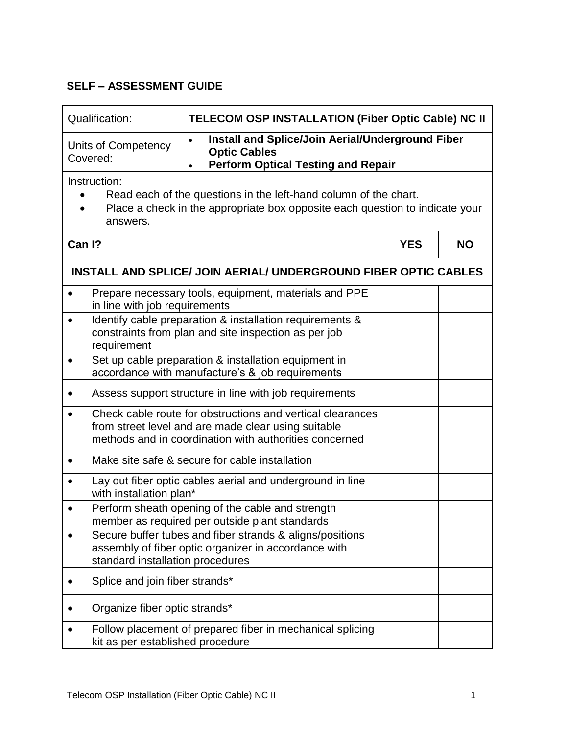## **SELF – ASSESSMENT GUIDE**

| Qualification:                                                                                                                                                               | TELECOM OSP INSTALLATION (Fiber Optic Cable) NC II                                                                                                                          |            |           |  |  |
|------------------------------------------------------------------------------------------------------------------------------------------------------------------------------|-----------------------------------------------------------------------------------------------------------------------------------------------------------------------------|------------|-----------|--|--|
| Units of Competency<br>Covered:                                                                                                                                              | Install and Splice/Join Aerial/Underground Fiber<br>$\bullet$<br><b>Optic Cables</b><br><b>Perform Optical Testing and Repair</b><br>$\bullet$                              |            |           |  |  |
| Instruction:<br>Read each of the questions in the left-hand column of the chart.<br>Place a check in the appropriate box opposite each question to indicate your<br>answers. |                                                                                                                                                                             |            |           |  |  |
| Can I?                                                                                                                                                                       |                                                                                                                                                                             | <b>YES</b> | <b>NO</b> |  |  |
|                                                                                                                                                                              | <b>INSTALL AND SPLICE/ JOIN AERIAL/ UNDERGROUND FIBER OPTIC CABLES</b>                                                                                                      |            |           |  |  |
| $\bullet$<br>in line with job requirements                                                                                                                                   | Prepare necessary tools, equipment, materials and PPE                                                                                                                       |            |           |  |  |
| Identify cable preparation & installation requirements &<br>$\bullet$<br>constraints from plan and site inspection as per job<br>requirement                                 |                                                                                                                                                                             |            |           |  |  |
| $\bullet$                                                                                                                                                                    | Set up cable preparation & installation equipment in<br>accordance with manufacture's & job requirements                                                                    |            |           |  |  |
|                                                                                                                                                                              | Assess support structure in line with job requirements                                                                                                                      |            |           |  |  |
|                                                                                                                                                                              | Check cable route for obstructions and vertical clearances<br>from street level and are made clear using suitable<br>methods and in coordination with authorities concerned |            |           |  |  |
|                                                                                                                                                                              | Make site safe & secure for cable installation                                                                                                                              |            |           |  |  |
|                                                                                                                                                                              | Lay out fiber optic cables aerial and underground in line<br>with installation plan*                                                                                        |            |           |  |  |
|                                                                                                                                                                              | Perform sheath opening of the cable and strength<br>member as required per outside plant standards                                                                          |            |           |  |  |
| standard installation procedures                                                                                                                                             | Secure buffer tubes and fiber strands & aligns/positions<br>assembly of fiber optic organizer in accordance with                                                            |            |           |  |  |
| Splice and join fiber strands*                                                                                                                                               |                                                                                                                                                                             |            |           |  |  |
| Organize fiber optic strands*                                                                                                                                                |                                                                                                                                                                             |            |           |  |  |
| kit as per established procedure                                                                                                                                             | Follow placement of prepared fiber in mechanical splicing                                                                                                                   |            |           |  |  |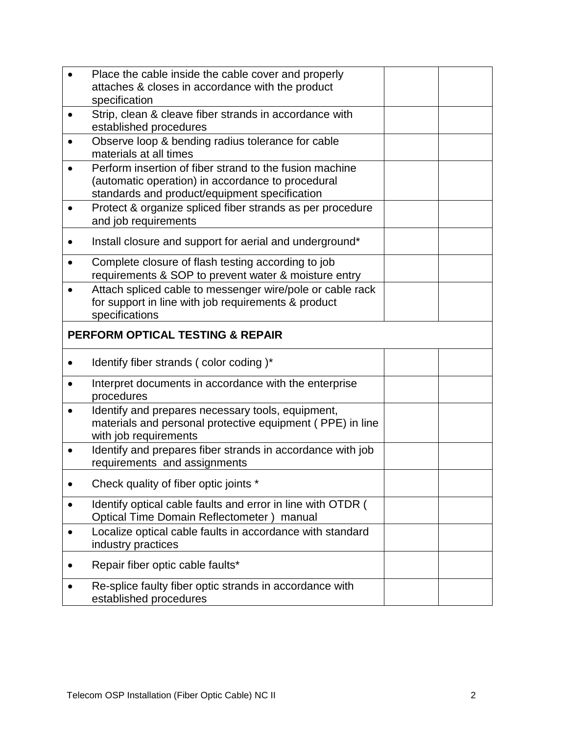|                                             | Place the cable inside the cable cover and properly                                                                                                           |  |  |  |
|---------------------------------------------|---------------------------------------------------------------------------------------------------------------------------------------------------------------|--|--|--|
|                                             | attaches & closes in accordance with the product                                                                                                              |  |  |  |
| $\bullet$                                   | specification<br>Strip, clean & cleave fiber strands in accordance with                                                                                       |  |  |  |
|                                             | established procedures                                                                                                                                        |  |  |  |
|                                             | Observe loop & bending radius tolerance for cable<br>materials at all times                                                                                   |  |  |  |
|                                             | Perform insertion of fiber strand to the fusion machine<br>(automatic operation) in accordance to procedural<br>standards and product/equipment specification |  |  |  |
|                                             | Protect & organize spliced fiber strands as per procedure<br>and job requirements                                                                             |  |  |  |
|                                             | Install closure and support for aerial and underground*                                                                                                       |  |  |  |
|                                             | Complete closure of flash testing according to job<br>requirements & SOP to prevent water & moisture entry                                                    |  |  |  |
|                                             | Attach spliced cable to messenger wire/pole or cable rack<br>for support in line with job requirements & product<br>specifications                            |  |  |  |
| <b>PERFORM OPTICAL TESTING &amp; REPAIR</b> |                                                                                                                                                               |  |  |  |
|                                             | Identify fiber strands (color coding)*                                                                                                                        |  |  |  |
|                                             | Interpret documents in accordance with the enterprise<br>procedures                                                                                           |  |  |  |
| $\bullet$                                   | Identify and prepares necessary tools, equipment,<br>materials and personal protective equipment (PPE) in line<br>with job requirements                       |  |  |  |
|                                             | Identify and prepares fiber strands in accordance with job<br>requirements and assignments                                                                    |  |  |  |
|                                             | Check quality of fiber optic joints *                                                                                                                         |  |  |  |
| ٠                                           | Identify optical cable faults and error in line with OTDR (<br>Optical Time Domain Reflectometer) manual                                                      |  |  |  |
|                                             | Localize optical cable faults in accordance with standard<br>industry practices                                                                               |  |  |  |
|                                             | Repair fiber optic cable faults*                                                                                                                              |  |  |  |
|                                             | Re-splice faulty fiber optic strands in accordance with<br>established procedures                                                                             |  |  |  |